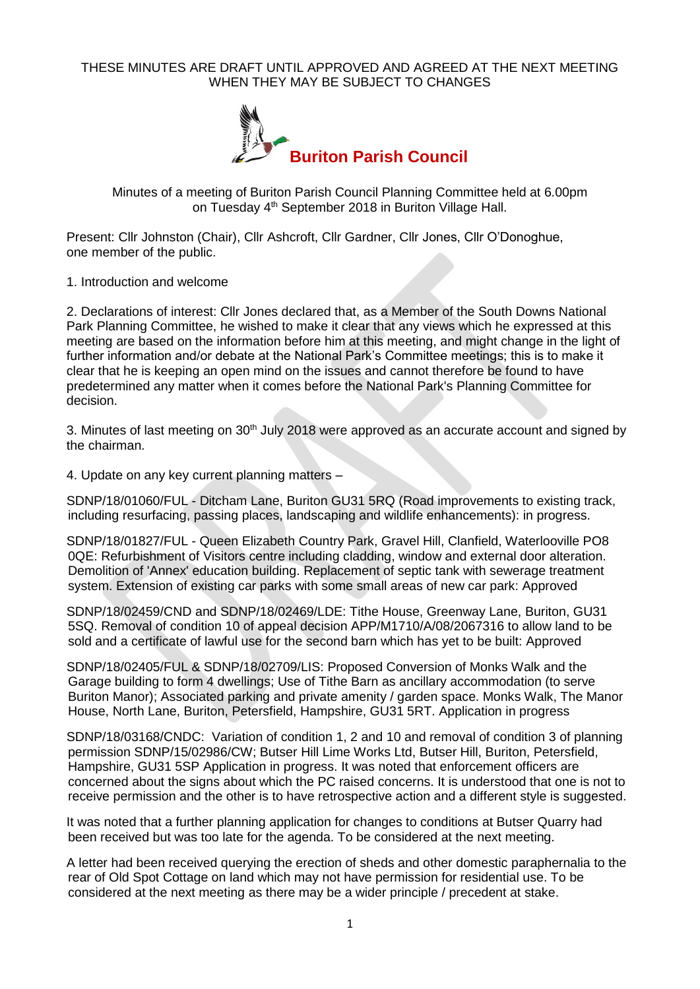## THESE MINUTES ARE DRAFT UNTIL APPROVED AND AGREED AT THE NEXT MEETING WHEN THEY MAY BE SUBJECT TO CHANGES



Minutes of a meeting of Buriton Parish Council Planning Committee held at 6.00pm on Tuesday 4<sup>th</sup> September 2018 in Buriton Village Hall.

Present: Cllr Johnston (Chair), Cllr Ashcroft, Cllr Gardner, Cllr Jones, Cllr O'Donoghue, one member of the public.

1. Introduction and welcome

2. Declarations of interest: Cllr Jones declared that, as a Member of the South Downs National Park Planning Committee, he wished to make it clear that any views which he expressed at this meeting are based on the information before him at this meeting, and might change in the light of further information and/or debate at the National Park's Committee meetings; this is to make it clear that he is keeping an open mind on the issues and cannot therefore be found to have predetermined any matter when it comes before the National Park's Planning Committee for decision.

3. Minutes of last meeting on 30<sup>th</sup> July 2018 were approved as an accurate account and signed by the chairman.

4. Update on any key current planning matters –

SDNP/18/01060/FUL - Ditcham Lane, Buriton GU31 5RQ (Road improvements to existing track, including resurfacing, passing places, landscaping and wildlife enhancements): in progress.

SDNP/18/01827/FUL - Queen Elizabeth Country Park, Gravel Hill, Clanfield, Waterlooville PO8 0QE: Refurbishment of Visitors centre including cladding, window and external door alteration. Demolition of 'Annex' education building. Replacement of septic tank with sewerage treatment system. Extension of existing car parks with some small areas of new car park: Approved

SDNP/18/02459/CND and SDNP/18/02469/LDE: Tithe House, Greenway Lane, Buriton, GU31 5SQ. Removal of condition 10 of appeal decision APP/M1710/A/08/2067316 to allow land to be sold and a certificate of lawful use for the second barn which has yet to be built: Approved

SDNP/18/02405/FUL & SDNP/18/02709/LIS: Proposed Conversion of Monks Walk and the Garage building to form 4 dwellings; Use of Tithe Barn as ancillary accommodation (to serve Buriton Manor); Associated parking and private amenity / garden space. Monks Walk, The Manor House, North Lane, Buriton, Petersfield, Hampshire, GU31 5RT. Application in progress

SDNP/18/03168/CNDC: Variation of condition 1, 2 and 10 and removal of condition 3 of planning permission SDNP/15/02986/CW; Butser Hill Lime Works Ltd, Butser Hill, Buriton, Petersfield, Hampshire, GU31 5SP Application in progress. It was noted that enforcement officers are concerned about the signs about which the PC raised concerns. It is understood that one is not to receive permission and the other is to have retrospective action and a different style is suggested.

It was noted that a further planning application for changes to conditions at Butser Quarry had been received but was too late for the agenda. To be considered at the next meeting.

A letter had been received querying the erection of sheds and other domestic paraphernalia to the rear of Old Spot Cottage on land which may not have permission for residential use. To be considered at the next meeting as there may be a wider principle / precedent at stake.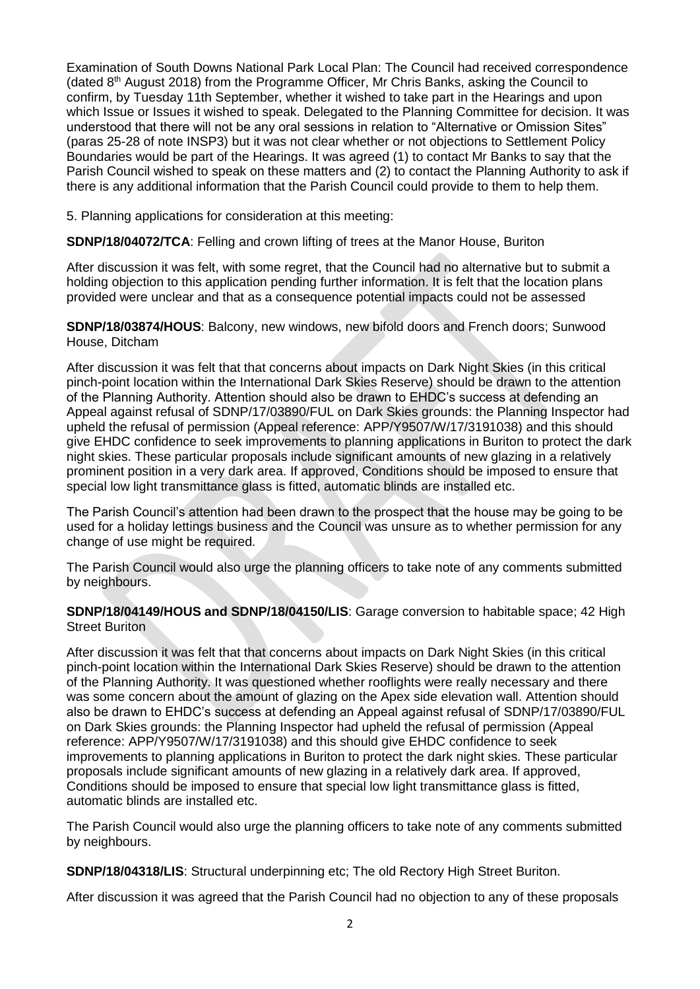Examination of South Downs National Park Local Plan: The Council had received correspondence (dated 8th August 2018) from the Programme Officer, Mr Chris Banks, asking the Council to confirm, by Tuesday 11th September, whether it wished to take part in the Hearings and upon which Issue or Issues it wished to speak. Delegated to the Planning Committee for decision. It was understood that there will not be any oral sessions in relation to "Alternative or Omission Sites" (paras 25-28 of note INSP3) but it was not clear whether or not objections to Settlement Policy Boundaries would be part of the Hearings. It was agreed (1) to contact Mr Banks to say that the Parish Council wished to speak on these matters and (2) to contact the Planning Authority to ask if there is any additional information that the Parish Council could provide to them to help them.

5. Planning applications for consideration at this meeting:

**SDNP/18/04072/TCA**: Felling and crown lifting of trees at the Manor House, Buriton

After discussion it was felt, with some regret, that the Council had no alternative but to submit a holding objection to this application pending further information. It is felt that the location plans provided were unclear and that as a consequence potential impacts could not be assessed

**SDNP/18/03874/HOUS**: Balcony, new windows, new bifold doors and French doors; Sunwood House, Ditcham

After discussion it was felt that that concerns about impacts on Dark Night Skies (in this critical pinch-point location within the International Dark Skies Reserve) should be drawn to the attention of the Planning Authority. Attention should also be drawn to EHDC's success at defending an Appeal against refusal of SDNP/17/03890/FUL on Dark Skies grounds: the Planning Inspector had upheld the refusal of permission (Appeal reference: APP/Y9507/W/17/3191038) and this should give EHDC confidence to seek improvements to planning applications in Buriton to protect the dark night skies. These particular proposals include significant amounts of new glazing in a relatively prominent position in a very dark area. If approved, Conditions should be imposed to ensure that special low light transmittance glass is fitted, automatic blinds are installed etc.

The Parish Council's attention had been drawn to the prospect that the house may be going to be used for a holiday lettings business and the Council was unsure as to whether permission for any change of use might be required.

The Parish Council would also urge the planning officers to take note of any comments submitted by neighbours.

**SDNP/18/04149/HOUS and SDNP/18/04150/LIS**: Garage conversion to habitable space; 42 High Street Buriton

After discussion it was felt that that concerns about impacts on Dark Night Skies (in this critical pinch-point location within the International Dark Skies Reserve) should be drawn to the attention of the Planning Authority. It was questioned whether rooflights were really necessary and there was some concern about the amount of glazing on the Apex side elevation wall. Attention should also be drawn to EHDC's success at defending an Appeal against refusal of SDNP/17/03890/FUL on Dark Skies grounds: the Planning Inspector had upheld the refusal of permission (Appeal reference: APP/Y9507/W/17/3191038) and this should give EHDC confidence to seek improvements to planning applications in Buriton to protect the dark night skies. These particular proposals include significant amounts of new glazing in a relatively dark area. If approved, Conditions should be imposed to ensure that special low light transmittance glass is fitted, automatic blinds are installed etc.

The Parish Council would also urge the planning officers to take note of any comments submitted by neighbours.

**SDNP/18/04318/LIS**: Structural underpinning etc; The old Rectory High Street Buriton.

After discussion it was agreed that the Parish Council had no objection to any of these proposals